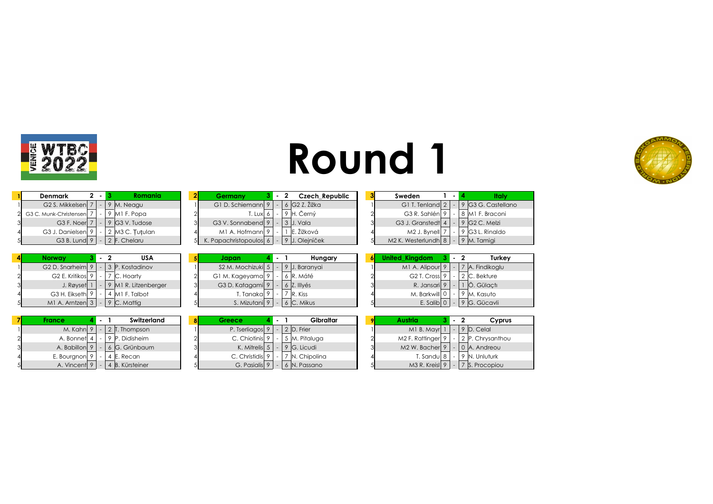



| Denmark                       | $2 - 1$ | <b>Romania</b>                      | Germany                                 |  | <b>Czech Republic</b>  | Sweden                          |           | Italy                       |
|-------------------------------|---------|-------------------------------------|-----------------------------------------|--|------------------------|---------------------------------|-----------|-----------------------------|
| G <sub>2</sub> S. Mikkelsen 7 |         | $\frac{1}{2}$ M. Neagu              | G1 D. Schiemann 9   -   6   G2 Z. Žižka |  |                        | G1 T. Tenland $2$   -           |           | 9 G3 G. Castellano          |
| 2 G3 C. Munk-Christensen 7    |         | 9 MI F. Popa                        | $T.$ Lux $\vert$ 6 $\vert$              |  | ∣ 9 ∣H. Černý          | G3 R. Sahlén 9                  | <b>м.</b> | 8  M1 F. Braconi            |
| G3 F. Noer 7                  |         | $ 9 G3$ V. Tudose                   | G3 V. Sonnabend 9                       |  | 3   J. Vala            | G3 J. Granstedt $4$   -         |           | $9$ G <sub>2</sub> C, Melzi |
| G3 J. Danielsen 9             |         | 2 M3 C. Tutulan                     | M1 A. Hofmann 9                         |  | $\mathsf{E}$ . Žižková | M2 J. Bvnell 7                  | $\sim$    | 9 G3 L. Rinaldo             |
|                               |         | G3 B. Lund $9$   -   2   F. Chelaru | K. Papachristopoulos 6                  |  | 9 J. Oleiníček         | M2 K. Westerlundh $8$ $\vert$ - |           | 9 M. Tamigi                 |

| Norway                       |        | USA                  | 51 | Japan                         |  | Hungary       |  | nited Kinadom           |  | - 2 |
|------------------------------|--------|----------------------|----|-------------------------------|--|---------------|--|-------------------------|--|-----|
| G <sub>2</sub> D. Snarheim 9 | $\sim$ | 3 P. Kostadinov      |    | S <sub>2</sub> M. Mochizuki 5 |  | 9 J. Baranvai |  | M1 A. Alipour           |  |     |
| G <sub>2</sub> E. Kritikos 9 |        | IC. Hoarty           |    | G1 M. Kageyama 9              |  | 6 R. Máté     |  | G <sub>2</sub> T. Cross |  |     |
| J. Røyset                    |        | 9 M1 R. Litzenberger |    | G3 D. Katagami 9              |  | 6 Z. Illyés   |  | R. Jansaril             |  |     |
| G3 H. Eikseth 9              |        | MI F. Talbot         |    | T. Tanakal 9                  |  | 7 R. Kiss     |  | M. Barkwill 0           |  |     |
| M1 A. Arntzen 3              |        | 9 C. Mattia          |    | S. Mizutanil 9                |  | 6 C. Mikus    |  | E. Salib 0              |  |     |

| Denmark<br>komania i                     | z | Germany                |  | Czech kepuplic | sweaen                          |  | mar                       |
|------------------------------------------|---|------------------------|--|----------------|---------------------------------|--|---------------------------|
| G2 S. Mikkelsen<br>M. Neagu              |   | G1 D. Schiemann 9      |  | 6 G2 Z. Žižka  | G1 T. Tenland $2$               |  | G3 G. Castell             |
| 9 MI F. Popa<br>G3 C. Munk-Christensen   |   | T. Lux  6              |  | Cerný          | G3 R. Sahlén                    |  | M1 F. Braconi             |
| G <sub>3</sub> F. Noerl<br>IG3 V. Tudose |   | G3 V. Sonnabend 9      |  | $3$ J. Vala    | G3 J. Granstedt 4               |  | 9 G <sub>2</sub> C. Melzi |
| G3 J. Danielsen<br>2 M3 C. Tutulan       |   | M1 A. Hofmann 9        |  | E. Žižková     | M <sub>2</sub> J. Bynell        |  | G3 L. Rinaldo             |
| G <sub>3</sub> B. Lund<br>2 F. Chelaru   |   | K. Papachristopoulos 6 |  | 9 J. Oleiníček | M <sub>2</sub> K. Westerlundh 8 |  | ' M. Tamiai               |

| Norwav                          |  | USA                  | Japan                     |        | Hungary       |  | United Kinadom             |         |  | Turkey          |
|---------------------------------|--|----------------------|---------------------------|--------|---------------|--|----------------------------|---------|--|-----------------|
| G2 D. Snarheim $9 \mid$         |  | 3 P. Kostadinov      | $S2 M.$ Mochizuki $ 5 $ - |        | 9 J. Baranvai |  | M1 A. Alipour 9            |         |  | 7 A. Findikoglu |
| G <sub>2</sub> E. Kritikos 9    |  | C. Hoarty            | G1 M. Kageyama  9         |        | 6 R. Máté     |  | G <sub>2</sub> T. Cross    | $\circ$ |  | 2 C. Bekture    |
| J. Røyset 1                     |  | 9 M1 R. Litzenberger | G3 D. Katagami 9          | $\sim$ | 6 Z. Illvés   |  | R. Jansari                 | $\circ$ |  | Ö. Gülactı      |
| G3 H. Eikseth 9                 |  | M1 F. Talbot         | T. Tanakal '              |        | R. Kiss       |  | M. Barkwill 0              |         |  | 9 M. Kasuto     |
| M1 A. Arntzen $3 - 9$ C. Mattig |  |                      | S. Mizutanil 9            |        | 6 C. Mikus    |  | E. Salib $\vert$ 0 $\vert$ |         |  | 9 G. Gücavli    |

| Denmark                                   | $2 - 1$ | Romania                           | $\mathbf{2}$ | Germany                                       | $3 - 2$ |  | Czech Republic              | Sweden                                    |     | ltalv                                                  |
|-------------------------------------------|---------|-----------------------------------|--------------|-----------------------------------------------|---------|--|-----------------------------|-------------------------------------------|-----|--------------------------------------------------------|
| G2 S. Mikkelsen $ 7  -  9 $ M. Neagu      |         |                                   |              | G1 D. Schiemann 9   -   6   G2 Z. Žižka       |         |  |                             |                                           |     | G1 T. Tenland $2 \mid - \mid 9 \mid G3 G$ . Castellano |
| Munk-Christensen   7   -   9   M1 F. Popa |         |                                   |              |                                               |         |  | T. Lux 6   -   9   H. Černý |                                           |     | G3 R. Sahlén 9   -   8   M1 F. Braconi                 |
|                                           |         | G3 F. Noer 7   -   9 G3 V. Tudose | ി            | G3 V. Sonnabend $9$   -   3   J. Vala         |         |  |                             | G3 J. Granstedt $4$   -   9   G2 C. Melzi |     |                                                        |
| G3 J. Danielsen $ 9  -  2 $ M3 C. Tutulan |         |                                   |              | M1 A. Hofmann 9                               |         |  | □  E. Žižková               | $M2$ J. Bynell 7                          | - 1 | $9$ G3 L. Rinaldo                                      |
| G3 B. Lund $9 - 2$ F. Chelaru             |         |                                   |              | K. Papachristopoulos 6   -   9   J. Oleiníček |         |  |                             | M2 K. Westerlundh $ 8  -  9 $ M. Tamigi   |     |                                                        |

| <b>United Kingdom</b>     |  | $\overline{2}$ | Turkey            |
|---------------------------|--|----------------|-------------------|
| M1 A. Alipour 9           |  |                | - 7 A. Findikoglu |
| G <sub>2</sub> T. Cross 9 |  |                | - 2 C. Bekture    |
| R. Jansari 9              |  |                | Ö. Gülactı        |
| M. Barkwill 0             |  |                | 9 M. Kasuto       |
| E. Salibl                 |  |                | G. Gücavli        |

| <b>France</b> |  | Switzerland     | Greece                               |  | Gibraltar                           | 91 | Austria                               |  | Cyprus                                            |
|---------------|--|-----------------|--------------------------------------|--|-------------------------------------|----|---------------------------------------|--|---------------------------------------------------|
| M. Kahnl 9    |  | 2 IT. Thompson  | P. Tserliagos $9$   -   2   D. Frier |  |                                     |    | M1 B. Mayr $ 1  -  9 $ D. Celal       |  |                                                   |
| A. Bonnet     |  | 9 P. Didisheim  | C. Chiotinis $9$ $\vert$ - $\vert$   |  | 5 M. Pitaluga                       |    | $M2$ F. Rattinger 9                   |  | 2 P. Chrysanthou                                  |
| A. Babillon 9 |  | 6 G. Grünbaum   |                                      |  | K. Mitrelis $5$   -   9   G. Licudi |    | M2 W. Bacher $9$   -   0   A. Andreou |  |                                                   |
| E. Bourgnon   |  | 4 E. Recan      | $C.$ Christidis $9$                  |  | 7 N. Chipolina                      |    | T. Sandu $ 8 $                        |  | $\vert$ 9 N. Unluturk                             |
| A. Vincent 9  |  | 4 B. Kürsteiner |                                      |  | G. Pasialis $9 - 6$ N. Passano      |    |                                       |  | M3 R. Kreisl $9 \mid - \mid 7 \mid S$ . Procopiou |

|                | Austria                    |  | - 2 | Cyprus             |
|----------------|----------------------------|--|-----|--------------------|
|                | M1 B. Mayr                 |  |     | $9$ D. Celal       |
|                | M2 F. Rattinger            |  |     | - 2 P. Chrysanthou |
| $\overline{a}$ | M <sub>2</sub> W. Bacher 9 |  |     | 0 A. Andreou       |
|                | T. Sandul 8                |  |     | N. Unluturk        |
|                | M3 R. Kreisl               |  |     | S. Procopiou       |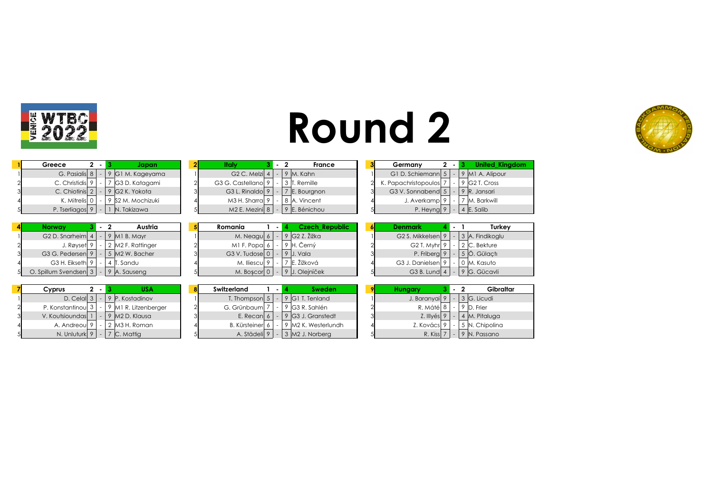

| <b>Round 2</b> |  |
|----------------|--|
|----------------|--|

**Greece Japan Italy Germany United\_Kingdom**



| Greece<br>$\overline{\phantom{a}}$ |        | Japan                      | 21 | Italy                         |                | 2<br><b>France</b>    | Germany                     | $\mathbf{2}$    | $\sim$                   | <b>United King</b> |
|------------------------------------|--------|----------------------------|----|-------------------------------|----------------|-----------------------|-----------------------------|-----------------|--------------------------|--------------------|
| G. Pasialis 8                      |        | 9 G1 M. Kageyama           |    | G <sub>2</sub> C. Melzi $ 4 $ |                | 9 M. Kahn             | G1 D. Schiemann             | $5\phantom{.0}$ |                          | 9 M1 A. Alipour    |
| C. Christidis 9                    |        | G3 D. Katagami             |    | G3 G. Castellanol 9           |                | 3 IT. Remille         | K. Papachristopoulos        |                 | $\overline{\phantom{0}}$ | 9 G2 T. Cross      |
| C. Chiotinis 2                     |        | 9 G2 K. Yokota             |    | G3 L. Rinaldol 9              |                | 7 E. Bourgnon         | G3 V. Sonnabend 5           |                 |                          | 9 R. Jansari       |
| K. Mitrelis 0                      | ۰      | 9 S2 M. Mochizuki          |    | M3 H. Sharra  9               |                | 8 A. Vincent          | J. Averkamp 9               |                 | $\sim$                   | ' M. Barkwill      |
| P. Tserliagos 9                    | $\sim$ | N. Takizawa                |    | $M2$ E. Mezini $ 8 $          |                | 9 E. Bénichou         | P. Heyng 9                  |                 | $\sim$                   | 4 E. Salib         |
|                                    |        |                            |    |                               |                |                       |                             |                 |                          |                    |
|                                    |        |                            |    |                               |                |                       |                             |                 |                          |                    |
| <b>Norway</b>                      |        | Austria                    |    | Romania                       | $\blacksquare$ | <b>Czech Republic</b> | <b>Denmark</b>              |                 |                          | Turkey             |
| G <sub>2</sub> D. Snarheim 4       |        | $9$ M <sub>1</sub> B. Mayr |    | M. Neagu 6                    |                | $9$ G2 Z. Žižka       | G <sub>2</sub> S. Mikkelsen |                 |                          | 3 A. Findikoglu    |
| J. Røyset 9                        |        | 2 M2 F. Rattinger          |    | MI F. Popal 6                 |                | 9 H. Černý            | G2 T. Myhr 9                |                 |                          | 2 C. Bekture       |
| G3 G. Pedersen 9                   |        | 5 M2 W. Bacher             |    | G3 V. Tudose $ 0 $            |                | 9 J. Vala             | P. Friberg 9                |                 |                          | 5 Ö. Gülactı       |
| G3 H. Eikseth 9                    |        | 4 T. Sandu                 |    | M. Iliescu $ 9 $              |                | 7 E. Žižková          | G3 J. Danielsen 9           |                 | $\sim$                   | 0 M. Kasuto        |

| Cyprus<br>2 -            | USA                     | 8 | Switzerland          |  | Sweden                          | 91 | <b>Hungary</b>       | . . | Gibraltar            |
|--------------------------|-------------------------|---|----------------------|--|---------------------------------|----|----------------------|-----|----------------------|
| D. Celal $3$             | 9 P. Kostadinov         |   | T. Thompson $5 \mid$ |  | 9 G1 T. Tenland                 |    | J. Baranyai 9        |     | $-$ 3 G. Licudi      |
| P. Konstantinoul $3$   - | 9 M1 R. Litzenberger    |   | G. Grünbaum          |  | 9 G3 R. Sahlén                  |    | R. Máté 8            |     | 9 D. Frier           |
| V. Koutsioundas 1        | $\sqrt{9}$ M2 D. Klausa |   | E. Recan 6           |  | $9$ G3 J. Granstedt             |    | $Z.$ Illyés 9        |     | $ 4 $ M. Pitaluga    |
| A. Andreou 9             | 2  M3 H. Roman          |   | <b>B.</b> Kürsteiner |  | 9 M2 K. Westerlundh             |    | Z. Kovács<br>$\circ$ |     | 5 N. Chipolina       |
| N. Unluturk $ 9 $ -      | $ 7 $ C. Mattig         |   | A. Städeli 9         |  | $\vert$ 3 $\vert$ M2 J. Norberg |    | R. Kiss $7$          |     | $\vert$ 9 N. Passano |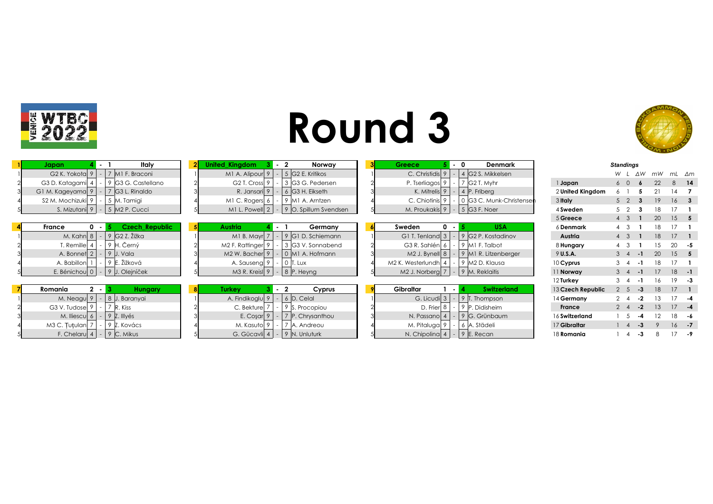



| Italy<br>Japan                                    | <b>United Kingdom</b><br>Norway<br>Denmark<br>Greece <sup>®</sup>                             | <b>Standings</b>                                       |
|---------------------------------------------------|-----------------------------------------------------------------------------------------------|--------------------------------------------------------|
| G <sub>2</sub> K. Yokota 9<br>$-$ 7 M1 F. Braconi | M <sub>1</sub> A. Alipour 9  <br>5 G2 E. Kritikos<br>C. Christidis 9<br>4 G2 S. Mikkelsen     | W.<br>ΔW<br>mW<br>mL ∆m                                |
| 9 G3 G. Castellano<br>G3 D. Katagami 4            | 3 G3 G. Pedersen<br>P. Tserliagos <sup>9</sup><br>G <sub>2</sub> T. Cross 9<br>G2 T. Myhr     | 22<br>1 Japan<br>8<br>$6\quad 0$                       |
| 7 G3 L. Rinaldo<br>G1 M. Kageyama 9               | $6$ G3 H, Eikseth<br>R. Jansari 9<br>K. Mitrelis 9<br>4 P. Friberg                            | 2 United Kingdom                                       |
| S2 M. Mochizuki 9<br>5 M. Tamigi                  | C. Chiotinis 9<br>0 G3 C. Munk-Christensen<br>M1 C. Rogers 6<br>$-$ 9 M1 A. Arntzen           | 3 Italy<br>19<br>16 <sup>1</sup><br>5 <sup>2</sup>     |
| $-$ 5 M2 P. Cucci<br>S. Mizutani 9                | $-$ 5 G3 F. Noer<br>$-$ 9 O. Spillum Svendsen<br>M. Proukakis 9<br>$M1$ L. Powell $2$         | 4 Sweden<br>18<br>$5\quad2$                            |
|                                                   |                                                                                               | 5 Greece<br>20<br>$15 \quad 5$<br>4 3                  |
| <b>Czech Republic</b><br>$0 - 1$<br>France        | <b>Austria</b><br>$0 - 5$<br><b>USA</b><br>Germany<br>Sweden<br>. .                           | 6 Denmark                                              |
| $9$ G2 Z. Žižka<br>M. Kahn $ 8 $<br>$-1$          | 9 G1 D. Schiemann<br>9 G2 P. Kostadinov<br>G1 T. Tenland $3$<br>M1 B. Mayr 7                  | Austria<br>18<br>17                                    |
| T. Remille 4<br>9 H. Černý                        | M2 F. Rattinger 9<br>G3 R. Sahlén 6<br>3 G3 V. Sonnabend<br>9 M1 F. Talbot                    | 8 Hungary<br>20                                        |
| $-$   9   J. Vala<br>A. Bonnet 2                  | $-$ 0 $\vert$ M1 A. Hofmann<br>9 M1 R. Litzenberger<br>$M2$ W. Bacher 9  <br>$M2$ J. Bynell 8 | 9 U.S.A.<br>20<br>$15 \quad 5$<br>$3 \quad 4$<br>- 1   |
| 9 E. Žižková<br>A. Babillon                       | A. Sauseng 9<br>9 M2 D. Klausa<br>M2 K. Westerlundh 4<br>$-$ 0 T. Lux                         | 10 Cyprus                                              |
| E. Bénichou 0<br>9 J. Olejníček                   | $-$ 8 P. Heyng<br>$M3$ R. Kreisl 9<br>M <sub>2</sub> J. Norberg 7<br>9 M. Reklaitis           | $18 - 1$<br>11 Norway                                  |
|                                                   |                                                                                               | 19<br>12 Turkey<br>16                                  |
| $2 - 3$<br><b>Hungary</b><br>Romania              | <b>Switzerland</b><br>Gibraltar<br>Turkey<br>Cyprus<br>$\circ$<br>- 1                         | 13 Czech Republic<br>18<br>2 <sub>5</sub><br>$-3$      |
| M. Neagu 9<br>8 J. Baranyai                       | A. Findikoglu 9<br>$6$ D. Celal<br>G. Licudi 3<br>9 T. Thompson                               | 14 Germany<br>$2 \quad 4$<br>-2                        |
| 7 R. Kiss<br>G3 V. Tudose 9                       | D. Frier 8<br>9 P. Didisheim<br>C. Bekture 7<br>9 S. Procopiou                                | 17 <sup>7</sup><br>13<br>$-2$<br>France<br>$2 \quad 4$ |
| $-$ 9 Z. Illyés<br>M. Iliescu 6                   | 9 G. Grünbaum<br>E. Cosar $9$<br>$ 7 $ P. Chrysanthou<br>N. Passano 4                         | 16 Switzerland<br>18<br>12                             |
| M3 C. Tutulan<br>9 Z. Kovács                      | M. Kasuto 9<br>7 A. Andreou<br>M. Pitaluga 9<br>6 A. Städeli                                  | 17 Gibraltar<br>16                                     |
| $-$ 9 C. Mikus<br>F. Chelaru $4$                  | G. Gücavli $ 4  -  9 $ N. Unluturk<br>N. Chipolina 4<br>$9$ E. Recan                          | 18 Romania<br>-3<br>4                                  |

|                   | <i>atanuniya</i> |                          |      |    |    |      |
|-------------------|------------------|--------------------------|------|----|----|------|
|                   | W                | L                        | ΔW   | mW | mL | Δm   |
| 1 Japan           | 6                | 0                        | 6    | 22 | 8  | 14   |
| 2 United Kingdom  | 6                | 1                        | 5    | 21 | 14 | 7    |
| 3 Italy           | 5                | $\overline{2}$           | 3    | 19 | 16 | 3    |
| 4 Sweden          | 5                | $\overline{2}$           | 3    | 18 | 17 | 1    |
| 5 Greece          | $\overline{4}$   | 3                        | 1    | 20 | 15 | 5    |
| 6 Denmark         | 4                | 3                        | 1    | 18 | 17 | 1    |
| Austria           | $\overline{4}$   | 3                        | 1    | 18 | 17 | 1    |
| 8 Hungary         | 4                | 3                        | 1    | 15 | 20 | -5   |
| 9 U.S.A.          | 3                | $\overline{4}$           | $-1$ | 20 | 15 | 5    |
| 10 Cyprus         | 3                | $\overline{\mathcal{A}}$ | $-1$ | 18 | 17 | 1    |
| 11 Norway         | 3                | $\overline{4}$           | $-1$ | 17 | 18 | -1   |
| 12 Turkey         | 3                | $\overline{\mathcal{A}}$ | $-1$ | 16 | 19 | -3   |
| 13 Czech Republic | $\overline{2}$   | 5                        | -3   | 18 | 17 | 1    |
| 14 Germany        | $\overline{2}$   | $\overline{\mathcal{A}}$ | -2   | 13 | 17 | -4   |
| <b>France</b>     | $\overline{2}$   | $\overline{4}$           | $-2$ | 13 | 17 | $-4$ |
| 16 Switzerland    | 1                | 5                        | -4   | 12 | 18 | -6   |
| 17 Gibraltar      | 1                | $\overline{4}$           | -3   | 9  | 16 | $-7$ |
| 18 <b>Romania</b> | 1                | 4                        | -3   | 8  | 17 | - 9  |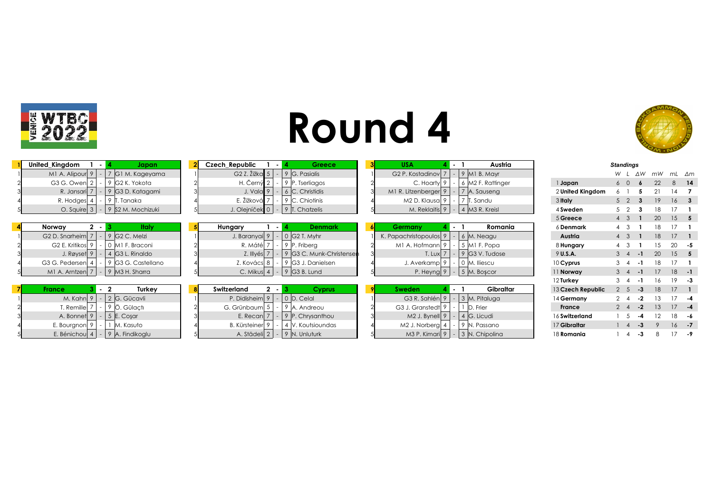



| United_Kingdom<br>Japan<br>- 14                               | Czech Republic              | . .                      | <b>Greecer</b>                        | <b>USA</b>                     |      | Austria                    |                   | <b>Standings</b> |         |    |                 |              |
|---------------------------------------------------------------|-----------------------------|--------------------------|---------------------------------------|--------------------------------|------|----------------------------|-------------------|------------------|---------|----|-----------------|--------------|
| M1 A. Alipour 9<br>7 G1 M. Kageyama<br><b>м.</b>              | G2 Z. Žižka $\vert 5 \vert$ | ٠                        | $9 G.$ Pasialis                       | G <sub>2</sub> P. Kostadinov 7 |      | $9$ M <sub>1</sub> B. Mayr |                   | W.               | ΔW      | mW |                 | mL ∆m        |
| G3 G. Owen 2<br>9 G2 K. Yokota                                | H. Černý 2                  |                          | 9 P. Tserliagos                       | C. Hoarty 9                    |      | 6 M2 F. Rattinger          | 1 Japan           | $6\quad 0$       |         | 22 | 8               | - 14         |
| 9 G3 D. Katagami<br>R. Jansari 7                              | J. Vala 9                   |                          | 6 C. Christidis                       | M1 R. Litzenberger 9           |      | 7 A. Sauseng               | 2 United Kingdom  |                  |         |    |                 |              |
| R. Hodges 4<br>9 IT<br>. Tanaka                               | E. Žižková 7                | $\sim$                   | $ 9 C$ . Chiotinis                    | M2 D. Klausa 9                 |      | . Sandu                    | 3 Italy           | $5\quad 2$       |         | 19 | 16 <sup>1</sup> |              |
| $-$ 9 S2 M. Mochizuki<br>O. Squire $3$                        |                             |                          | J. Olejníček 0   -   9   T. Chatzelis | M. Reklaitis 9                 |      | 4 M3 R. Kreisl             | 4 Sweden          | 5 <sub>2</sub>   |         | 18 |                 |              |
|                                                               |                             |                          |                                       |                                |      |                            | 5 Greece          | 4 3              |         | 20 |                 | $15 \quad 5$ |
| $2 - 3$<br>Italy<br>Norway                                    | Hungary                     | - 1                      | <b>Denmark</b>                        | Germany                        | 4. 1 | Romania                    | 6 Denmark         |                  |         |    |                 |              |
| G <sub>2</sub> D. Snarheim 7<br>$-$ 9 G <sub>2</sub> C. Melzi | J. Baranyai 9               |                          | $-$ 0 G2 T. Myhr                      | K. Papachristopoulos 9         |      | 6 M. Neagu                 | Austria           |                  |         | 18 | 17              |              |
| G <sub>2</sub> E. Kritikos <sup>9</sup><br>  0  M1 F. Braconi | R. Mátél 7                  |                          | $-$ 9 P. Friberg                      | M1 A. Hofmann 9                |      | 5 MI F. Popa               | 8 Hungary         |                  |         |    | 20              |              |
| 4 G3 L. Rinaldo<br>J. Røyset 9                                | Z. Illyés 7                 |                          | 9 G3 C. Munk-Christensen              | $T.$ Lux $\overline{7}$        |      | 9 G3 V. Tudose             | 9 U.S.A.          | $3 \quad 4$      | - 1     | 20 |                 | $15 \quad 5$ |
| 9 G3 G. Castellano<br>G3 G. Pedersen 4                        | Z. Kovács 8                 |                          | $-$ 9 G3 J. Danielsen                 | J. Averkamp 9                  |      | 0 M. Iliescu               | 10 Cyprus         |                  |         |    |                 |              |
| $-$ 9 M3 H. Sharra<br>M1 A. Arntzen 7                         | $C.$ Mikus $ 4 $            |                          | $-$ 9 G3 B. Lund                      | P. Heyng 9                     |      | 5 M. Boscor                | 11 Norway         |                  |         |    |                 | $18 - 1$     |
|                                                               |                             |                          |                                       |                                |      |                            | 12 Turkey         |                  |         | 16 | 19              |              |
| Turkey<br>$\overline{\mathbf{2}}$<br><b>France</b>            | Switzerland                 | $2 - 1$                  | <b>Cyprus</b>                         | <b>Sweden</b>                  |      | Gibraltar                  | 13 Czech Republic | 2 <sub>5</sub>   | $-3$    | 18 |                 |              |
| - 2 G. Gücavli<br>M. Kahn 9                                   | P. Didisheim 9              | $\overline{\phantom{0}}$ | $\vert$ 0 $\vert$ D. Celal            | G3 R. Sahlén 9                 |      | 3 M. Pitaluga              | 14 Germany        | $2 \quad 4$      | -2      |    |                 |              |
| T. Remille<br>9 Ö. Gülaçtı                                    | G. Grünbaum 5               | $\sim$                   | 9 A. Andreou                          | G3 J. Granstedt 9              |      | D. Frier                   | France            | $2 \quad 4$      | $-2$    | 13 | 17 <sup>7</sup> | -4           |
| $-$ 5 E. Coşar<br>A. Bonnet 9                                 | E. Recan 7                  |                          | $ 9 $ P. Chrysanthou                  | $M2$ J. Bynell 9               |      | 4 G. Licudi                | 16 Switzerland    |                  |         | 12 | 18              |              |
| M. Kasuto<br>E. Bourgnon  9                                   | B. Kürsteiner 9             |                          | 4 V. Koutsioundas                     | M2 J. Norberg  4               |      | 9 N. Passano               | 17 Gibraltar      |                  |         |    | 16              | - 7          |
| $-$ 9 A. Findikoglu<br>E. Bénichou 4                          |                             |                          | A. Städeli 2   -   9   N. Unluturk    | M3 P. Kimari 9                 |      | $-$ 3 N. Chipolina         | 18 Romania        |                  | -3<br>4 |    |                 |              |

|                   | <b>Standings</b> |                |      |    |    |            |
|-------------------|------------------|----------------|------|----|----|------------|
|                   | W                | ı              | ΔW   | mW | mL | $\Delta m$ |
| 1 Japan           | 6                | 0              | 6    | 22 | 8  | 14         |
| 2 United Kingdom  | 6                | 1              | 5    | 21 | 14 | 7          |
| 3 Italy           | 5                | $\overline{2}$ | 3    | 19 | 16 | 3          |
| 4 Sweden          | 5                | 2              | 3    | 18 | 17 | 1          |
| 5 Greece          | $\overline{4}$   | 3              | 1    | 20 | 15 | 5          |
| 6 Denmark         | 4                | 3              | 1    | 18 | 17 | 1          |
| Austria           | $\overline{4}$   | 3              | 1    | 18 | 17 | 1          |
| 8 Hungary         | 4                | 3              | 1    | 15 | 20 | -5         |
| 9 U.S.A.          | 3                | $\overline{4}$ | $-1$ | 20 | 15 | 5          |
| 10 Cyprus         | 3                | 4              | $-1$ | 18 | 17 | 1          |
| 11 Norway         | 3                | $\overline{4}$ | $-1$ | 17 | 18 | -1         |
| 12 Turkey         | 3                | 4              | -1   | 16 | 19 | -3         |
| 13 Czech Republic | $\overline{2}$   | 5              | $-3$ | 18 | 17 | 1          |
| 14 Germany        | 2                | 4              | -2   | 13 | 17 | -4         |
| <b>France</b>     | $\overline{2}$   | $\overline{4}$ | $-2$ | 13 | 17 | $-4$       |
| 16 Switzerland    | 1                | 5              | -4   | 12 | 18 | -6         |
| 17 Gibraltar      | 1                | 4              | -3   | 9  | 16 | -7         |
| 18 <b>Romania</b> | 1                | 4              | -3   | 8  | 17 | -9         |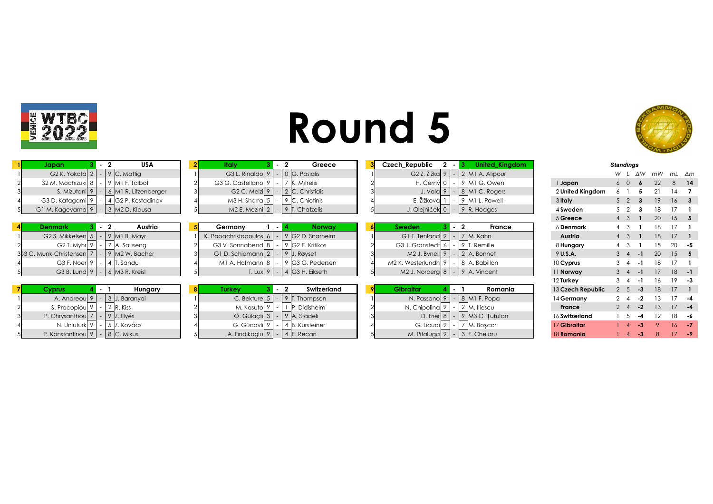



| Japan                                              | <b>USA</b>                                 | Italv                                       |                 | Greece              | Czech Republic                       | <b>United Kingdom</b>      |           |                   |                | <b>Standings</b>     |    |                 |              |
|----------------------------------------------------|--------------------------------------------|---------------------------------------------|-----------------|---------------------|--------------------------------------|----------------------------|-----------|-------------------|----------------|----------------------|----|-----------------|--------------|
| G2 K. Yokota $2$ $\mid$ - $\mid$ 9 C. Mattig       |                                            | G3 L. Rinaldo $9$                           |                 | $-$ 0 G. Pasialis   | G2 Z. Žižka 9                        | 2 M1 A. Alipour            |           |                   | W I            | ΔW                   | mW |                 | mL ∆m        |
| S2 M. Mochizuki $ 8 $ - $ 9 $ M1 F. Talbot         |                                            | G3 G. Castellano 9                          |                 | 7 K. Mitrelis       | H. Černý $0$                         | 9 MIG. Owen                | 1 Japan   |                   | $6\quad 0$     |                      | 22 | 8               | - 14         |
|                                                    | S. Mizutani $ 9  -  6 $ M1 R. Litzenberger | G <sub>2</sub> C. Melzi $ 9 $               |                 | $-$ 2 C. Christidis | J. Vala 9                            | 8 MI C. Rogers             |           | 2 United Kingdom  |                |                      |    |                 |              |
| G3 D. Katagami 9   -   4 G2 P. Kostadinov          |                                            | M3 H. Sharra $5$   -   9   C. Chiotinis     |                 |                     | E. Žižková 1                         | 9 M1 L. Powell             | 3 Italy   |                   | $5\quad2$      |                      | 19 | 16 <sup>1</sup> |              |
| G1 M. Kageyama 9   -   3   M2 D. Klausa            |                                            | M2 E. Mezini $ 2  -  9 $ T. Chatzelis       |                 |                     | J. Olejníček 0   -   9   R. Hodges   |                            |           | 4 Sweden          | $5\quad 2$     |                      | 18 |                 |              |
|                                                    |                                            |                                             |                 |                     |                                      |                            |           | 5 Greece          | $4 \quad 3$    |                      | 20 |                 | $15$ 5       |
| <b>Denmark</b><br>$3 - 2$                          | Austria                                    | Germany                                     |                 | <b>Norway</b>       | <b>Sweden</b>                        | $\mathbf{1}$ - 2<br>France |           | 6 Denmark         |                |                      |    |                 |              |
| G2 S. Mikkelsen $ 5  -  9 $ M1 B. Mayr             |                                            | K. Papachristopoulos 6                      |                 | 9 G2 D. Snarheim    | G1 T. Tenland $9 \mid$               | 7 M. Kahn                  |           | Austria           | $4 \quad 3$    |                      | 18 | 17              |              |
| G2 T. Myhr $9$   -   7   A. Sauseng                |                                            | G3 V. Sonnabend 8                           | - 1             | 9 IG2 E. Kritikos   | G3 J. Granstedt 6                    | 9 T. Remille               |           | 8 Hungary         |                |                      |    | 20              |              |
| 353 C. Munk-Christensen   7   -   9   M2 W. Bacher |                                            | G1 D. Schiemann 2                           | $-$ 9 J. Røyset |                     | $M2$ J. Bynell 9                     | 2 A. Bonnet                | 9 U.S.A.  |                   | $3 \quad 4$    | $-1$                 | 20 |                 | $15 \quad 5$ |
| G3 F. Noer $9$   -   4 T. Sandu                    |                                            | M1 A. Hofmann $8$   -   9 $ GSG$ . Pedersen |                 |                     | M2 K. Westerlundh 9                  | 8 A. Babillon              | 10 Cyprus |                   |                |                      |    |                 |              |
| G3 B. Lund $9 - 6$ M3 R. Kreisl                    |                                            | T. Lux  9                                   |                 | $ 4 $ G3 H. Eikseth | M2 J. Norberg 8                      | $-$ 9 A. Vincent           | 11 Norway |                   | $3 \quad 4$    |                      |    |                 | $18 - 1$     |
|                                                    |                                            |                                             |                 |                     |                                      |                            | 12 Turkey |                   | $3 \quad 4$    |                      | 16 | 19              |              |
| <b>Cyprus</b>                                      | Hungary                                    | <b>Turkey</b>                               |                 | Switzerland         | <b>Gibraltar</b>                     | Romania<br>$\sim$ 1        |           | 13 Czech Republic | 2 <sub>5</sub> | $-3$                 | 18 |                 |              |
| A. Andreou $9 - 3$ J. Baranyai                     |                                            | $C.$ Bekture $5$                            |                 | $-$ 9 T. Thompson   | N. Passano 9                         | $-$ 8 MI F. Popa           |           | 14 Germany        | $2 \quad 4$    | $-2$                 |    |                 |              |
| S. Procopiou $9$   -   2   R. Kiss                 |                                            | M. Kasuto 9                                 |                 | P. Didisheim        | N. Chipolina 9                       | 2 M. Iliescu               |           | France            | $2 \quad 4$    | $-2$                 | 13 | 17              | -4           |
| P. Chrysanthou $7$   -   9 $\,$ Z. Illyés          |                                            | $\ddot{\circ}$ . Gülactı $\vert 3 \vert$    |                 | $-$ 9 A. Städeli    | D. Frier $8 \mid$                    | $9$ M3 C. Tutulan          |           | 16 Switzerland    |                |                      |    |                 |              |
| N. Unluturk 9   -   5   Z. Kovács                  |                                            | G. Gücavli 9                                |                 | 4 B. Kürsteiner     | G. Licudi 9                          | 7 M. Boscor                |           | 17 Gibraltar      |                |                      |    | 16              |              |
| P. Konstantinou $ 9  -  8 $ C. Mikus               |                                            | A. Findikoglu $ 9  -  4 $ E. Recan          |                 |                     | M. Pitaluga $9$   -   3   F. Chelaru |                            |           | 18 Romania        |                | -3<br>$\overline{4}$ |    |                 |              |

|                   | otananiyə      |                           |      |              |    |    |
|-------------------|----------------|---------------------------|------|--------------|----|----|
|                   | W              | L                         | ΔW   | mW           | mL | Δm |
| 1 Japan           | 6              | 0                         | 6    | 22           | 8  | 14 |
| 2 United Kingdom  | 6              | 1                         | 5    | 21           | 14 | 7  |
| 3 Italy           | 5              | $\overline{2}$            | 3    | 19           | 16 | 3  |
| 4 Sweden          | 5              | $\overline{2}$            | 3    | 18           | 17 | 1  |
| 5 Greece          | $\overline{4}$ | 3                         | 1    | 20           | 15 | 5  |
| 6 Denmark         | 4              | 3                         | 1    | 18           | 17 | 1  |
| Austria           | $\overline{4}$ | 3                         | 1    | 18           | 17 | 1  |
| 8 Hungary         | 4              | 3                         | 1    | 15           | 20 | -5 |
| 9 U.S.A.          | 3              | $\overline{4}$            | $-1$ | 20           | 15 | 5  |
| 10 Cyprus         | 3              | 4                         | -1   | 18           | 17 | 1  |
| 11 Norway         | 3              | $\overline{4}$            | -1   | 17           | 18 | -1 |
| 12 Turkey         | 3              | 4                         | -1   | 16           | 19 | -3 |
| 13 Czech Republic | $\overline{2}$ | 5                         | -3   | 18           | 17 | 1  |
| 14 Germany        | 2              | 4                         | -2   | 13           | 17 | -4 |
| <b>France</b>     | $\overline{2}$ | $\overline{4}$            | $-2$ | 13           | 17 | -4 |
| 16 Switzerland    | 1              | 5                         | -4   | 12           | 18 | -6 |
| 17 Gibraltar      | 1              | $\overline{4}$            | -3   | 9            | 16 | -7 |
| 18 Romania        | 1              | $\boldsymbol{\varLambda}$ | -3   | $\mathsf{R}$ | 17 | -9 |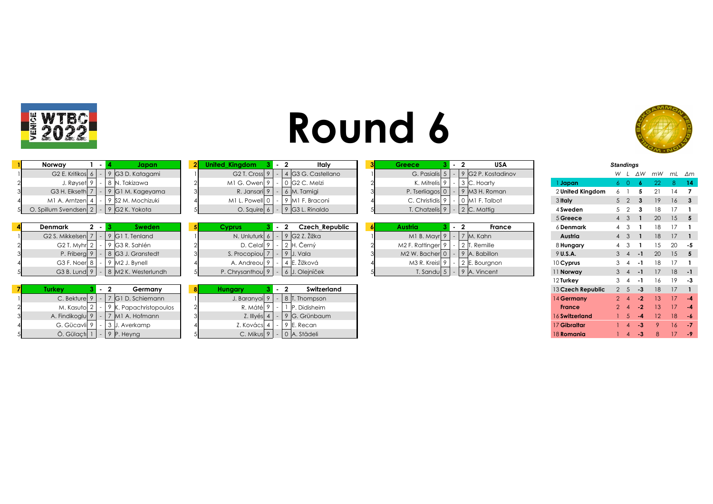

| <b>Round 6</b> |  |
|----------------|--|
|----------------|--|



| Norway                       | lapan.             | ed Kinadom .                | — 12 ani | Italv                       |  | Greece                        | <b>USA</b>                |                  | <b>Standings</b> |    |    |            |     |
|------------------------------|--------------------|-----------------------------|----------|-----------------------------|--|-------------------------------|---------------------------|------------------|------------------|----|----|------------|-----|
| G <sub>2</sub> E. Kritikos 6 | ≀  G3 D. Katagami  | G <sub>2</sub> T. Cross $9$ |          | 4 G3 G. Castellano          |  | G. Pasialis                   | 9 G2 P. Kostadinov        |                  |                  | ΔW | mW | mL ∆n      |     |
| J. Røyset 9'                 | 8  N. Takizawa     | $M1$ G. Owen $ 9 $          |          | - 0 G2 C. Melzi             |  | K. Mitrelis $9 \mid$          | 3 C. Hoarty               | Japan            |                  |    |    |            | -14 |
| G3 H. Eikseth 7              | - 9 G1 M. Kageyama | R. Jansari 9                |          | $\vert$ 6 $\vert$ M. Tamigi |  | P. Tserliagos $\vert 0 \vert$ | $\frac{1}{2}$ M3 H. Roman | 2 United Kingdom |                  |    |    |            |     |
| MI A. Arntzenl 4             | 9 S2 M. Mochizuki  | M1 L. Powell 0              |          | 9 M1 F. Braconi             |  | C. Christidis 9               | 0 M1 F. Talbot            | 3 Italy          |                  |    |    | $\sqrt{6}$ |     |
| O. Spillum Svendsen 2        | 9 G2 K. Yokota     | O. Squire 6                 |          | 9 G3 L. Rinaldo             |  | T. Chatzelis  9               | $\vert$ 2 C. Mattig       | 4 Sweden         |                  |    |    |            |     |

| Denmark<br>, .<br>Sweden                   | vorus               | Czech Republic                          | wstria                                                    | France<br>6 Denmark |  |               |  |
|--------------------------------------------|---------------------|-----------------------------------------|-----------------------------------------------------------|---------------------|--|---------------|--|
| G2 S. Mikkelsen $ 7  -  9 $ G1 T. Tenland  | N. Unluturk 6       | 9   G2 Z. Žižka                         | 7 M. Kahn<br>M I B. Mayr $9$   -                          | Austria             |  | $18 \t17 \t1$ |  |
| G2 T. Myhr $2$   -<br>9 G3 R. Sahlén       | $D.$ Celal $9 \mid$ | 2  H. Cerný                             | M2 F. Rattinger  9   -   2   T. Remille                   | 8 Hungary           |  | - 20 - 5      |  |
| P. Friberg 9<br>  G3 J. Granstedt          | S. Procopiou  7     | J. Vala                                 | $M2$ W. Bacher 0 $\vert \cdot \vert 9 \vert A$ . Babillon | 9 U.S.A.            |  | 20 15 5       |  |
| G3 F. Noer $8$   -<br>$9$ M2 J. Bynell     | A. Andreoul 9       | IE. Žižková                             | M3 R. Kreisl $9 - 2$ E. Bourgnon                          | $10$ Cyprus         |  |               |  |
| G3 B. Lund $9$   -   8   M2 K. Westerlundh |                     | P. Chrysanthou $ 9  -  6 $ J. Olejníček | T. Sandu $\mid 5 \mid - \mid 9 \mid A$ . Vincent          | 11 Norway           |  | -18 -1        |  |

| <u>.drkev</u>                               | Germany                                               |               | Switzerland                                   |
|---------------------------------------------|-------------------------------------------------------|---------------|-----------------------------------------------|
|                                             | C. Bekture $9$   -   7   G I D. Schiemann             | J. Baranyai 9 | 8 T. Thompson                                 |
|                                             | M. Kasuto $2$ - 9 K. Papachristopoulos                | R. Máté   9   | <sup>1</sup> 1   P. Didisheim                 |
|                                             | A. Findikoglu $\boxed{9}$ - $\boxed{7}$ M1 A. Hofmann |               | Z. Illyés $4 \mid - \mid 9 \mid G$ . Grünbaum |
| G. Gücavli 9                                | -   3   J. Averkamp                                   |               | Z. Kovács $ 4  -  9 $ E. Recan                |
| $\ddot{O}$ . Gülaçtı $ 1 $ - $ 9 $ P. Heyng |                                                       |               | C. Mikus $ 9  -  0 $ A. Städeli               |

| iited Kingdom           |  |   | Italy            |
|-------------------------|--|---|------------------|
| G <sub>2</sub> T. Cross |  |   | G3 G. Castellano |
| M1 G. Owen              |  |   | G2 C. Melzi      |
| R. Jansari              |  | 6 | M. Tamigi        |
| M1 L. Powell            |  | 9 | M1 F. Braconi    |
| O. Squire               |  | 9 | G3 L. Rinaldo    |
|                         |  |   |                  |

| ıark                       |  | <b>Sweden</b>                         |    | <b>Cyprus</b>     |  | <b>Czech Republic</b> | Austria |                      |  | Frar           |
|----------------------------|--|---------------------------------------|----|-------------------|--|-----------------------|---------|----------------------|--|----------------|
| . Mikkelsen                |  | $ 9 G1$ T. Tenland                    |    | N. Unluturk 6     |  | 9 G2 Z. Žižka         |         | $M1 B.$ Mayr $9$ $-$ |  | 7 M. Kahn      |
| G <sub>2</sub> T. Myhr $2$ |  | 9 G3 R. Sahlén                        |    | D. Celall 9       |  | 2 H. Černý            |         | M2 F. Rattinger 9    |  | 2 T. Remille   |
| P. Friberg 9               |  | 8 G3 J. Granstedt                     | วเ | S. Procopioul 7   |  | 9 J. Vala             |         | $M2$ W. Bacher 0     |  | 9 A. Babillon  |
| G3 F. Noer 8               |  | $9$ M2 J. Bynell                      |    | A. Andreoul 9     |  | 4 E. Žižková          |         | M3 R. Kreisl 9       |  | 2 E. Bourgnon  |
|                            |  | G3 B. Lund $9$ $ 8$ M2 K. Westerlundh |    | P. Chrysanthoul 9 |  | 6 J. Olejníček        |         | T. Sandul $5$        |  | $9$ A. Vincent |

| Turkev         | 3.          | $\sim$ |             | Germany                   | 8 | <b>Hungary</b> |  | Switzerland   |
|----------------|-------------|--------|-------------|---------------------------|---|----------------|--|---------------|
| C. Bekturel    | $\circ$     |        |             | <b>G1 D. Schiemann</b>    |   | J. Baranyail 9 |  | 8 T. Thompson |
| M. Kasutol 2   |             |        |             | 9 K. Papachristopoulos    | ∩ | R. Mátél       |  | P. Didisheim  |
| A. Findikoglul | $\mathsf Q$ |        |             | M <sub>1</sub> A. Hofmann | વ | Z. Illvés 4    |  | 9 G. Grünbaum |
| G. Gücavli 9   |             |        | 3           | J. Averkamp               |   | Z. Kovácsl     |  | 9 E. Recan    |
| Ö Gülactıl     |             |        | $\mathsf Q$ | IP Hevna                  |   | $C.$ Mikusl 9  |  | lA Städeli    |

| Greece          | 3.      | $\blacksquare$           | <b>USA</b>                   | <b>Standings</b> |                  |   |  |  |    |    |    |
|-----------------|---------|--------------------------|------------------------------|------------------|------------------|---|--|--|----|----|----|
| G. Pasialis 5   |         |                          | G <sub>2</sub> P. Kostadinov |                  |                  | W |  |  | mW | mL | Δm |
| K. Mitrelis     | $\circ$ |                          | 3 C. Hoarty                  |                  | Japan            |   |  |  | 22 |    |    |
| P. Tserliagos 0 |         | $\overline{\phantom{a}}$ | M3 H. Roman                  |                  | 2 United Kingdom |   |  |  |    | 14 |    |
| C. Christidis   | $\circ$ |                          | 0 MI F. Talbot               |                  | 3 Italy          |   |  |  | 19 | 16 |    |
| T. Chatzelis 9  |         | $\overline{\phantom{a}}$ | 2 C. Mattig                  |                  | 4 Sweden         |   |  |  | 18 |    |    |

| Austria         |  | 2 | France        |
|-----------------|--|---|---------------|
| M1 B. Mayr 9    |  |   | 7 M. Kahn     |
| M2 F. Rattinger |  |   | 2 T. Remille  |
| M2 W. Bacher 0  |  |   | A. Babillon   |
| M3 R. Kreisl 9  |  |   | 2 E. Bourgnon |
| T. Sandu        |  | 9 | A. Vincent    |

| 1 Japan           | 6              | 0              | 6    | 22 | 8  | 14           |
|-------------------|----------------|----------------|------|----|----|--------------|
| 2 United Kingdom  | 6              | 1              | 5    | 21 | 14 | 7            |
| 3 Italy           | 5              | $\overline{2}$ | 3    | 19 | 16 | 3            |
| 4 Sweden          | 5              | 2              | 3    | 18 | 17 | 1            |
| 5 Greece          | $\overline{4}$ | 3              | 1    | 20 | 15 | 5            |
| 6 Denmark         | 4              | 3              | 1    | 18 | 17 | 1            |
| Austria           | $\overline{4}$ | 3              | 1    | 18 | 17 | 1            |
| 8 Hungary         | 4              | 3              | 1    | 15 | 20 | -5           |
| 9 U.S.A.          | 3              | $\overline{4}$ | $-1$ | 20 | 15 | 5            |
| 10 Cyprus         | 3              | 4              | -1   | 18 | 17 | 1            |
| 11 Norway         | 3              | $\overline{4}$ | $-1$ | 17 | 18 | -1           |
| 12 Turkey         | 3              | 4              | -1   | 16 | 19 | -3           |
| 13 Czech Republic | $\overline{2}$ | 5              | -3   | 18 | 17 | $\mathbf{1}$ |
| 14 Germany        | $\overline{2}$ | 4              | $-2$ | 13 | 17 | -4           |
| <b>France</b>     | $\overline{2}$ | 4              | $-2$ | 13 | 17 | -4           |
| 16 Switzerland    | 1              | 5              | -4   | 12 | 18 | -6           |
| 17 Gibraltar      | 1              | $\overline{4}$ | -3   | 9  | 16 | -7           |
| 18 Romania        | 1              | 4              | -3   | 8  | 17 | -9           |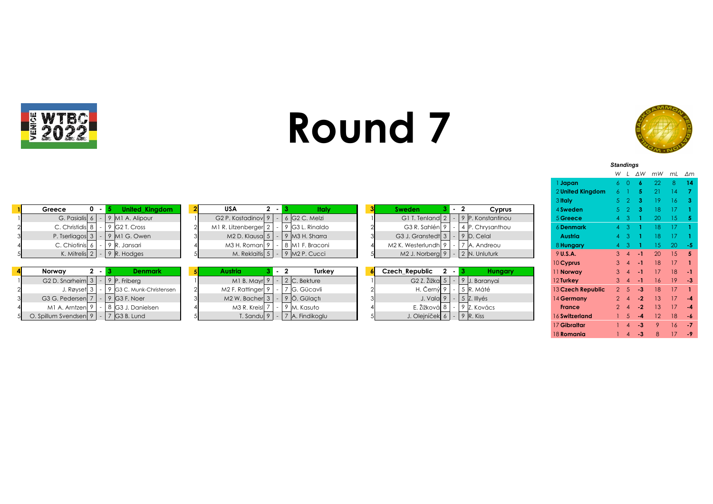



*Standings*

|                   | W              | L              | ΔW   | mW | mL | Δm  |
|-------------------|----------------|----------------|------|----|----|-----|
| 1 Japan           | 6              | 0              | 6    | 22 | 8  | 14  |
| 2 United Kingdom  | 6              | Ī              | 5    | 21 | 14 | 7   |
| 3 Italy           | 5              | 2              | 3    | 19 | 16 | 3   |
| 4 Sweden          | 5              | 2              | 3    | 18 | 17 | 1   |
| 5 Greece          | 4              | 3              | 1    | 20 | 15 | 5   |
| 6 Denmark         | 4              | 3              | 1    | 18 | 17 | 1   |
| Austria           | 4              | 3              | 1    | 18 | 17 | 1   |
| 8 Hungary         | 4              | 3              | 1    | 15 | 20 | -5  |
| 9 U.S.A.          | 3              | $\overline{4}$ | -1   | 20 | 15 | 5   |
| 10 Cyprus         | 3              | $\overline{4}$ | -1   | 18 | 17 | 1   |
| 11 Norway         | 3              | $\overline{4}$ | -1   | 17 | 18 | -1  |
| 12 Turkey         | 3              | $\overline{4}$ | -1   | 16 | 19 | -3  |
| 13 Czech Republic | $\overline{2}$ | 5              | -3   | 18 | 17 | 1   |
| 14 Germany        | $\overline{2}$ | 4              | $-2$ | 13 | 17 | -4  |
| <b>France</b>     | $\overline{2}$ | 4              | $-2$ | 13 | 17 | -4  |
| 16 Switzerland    | 1              | 5              | $-4$ | 12 | 18 | -6  |
| 17 Gibraltar      | 1              | 4              | -3   | 9  | 16 | -7  |
| 18 <b>Romania</b> | 1              | $\overline{4}$ | -3   | 8  | 17 | - 9 |

|                                                         |                                                                                           | o nury            |             |     |                 |                 |     |
|---------------------------------------------------------|-------------------------------------------------------------------------------------------|-------------------|-------------|-----|-----------------|-----------------|-----|
| <b>United Kingdom</b><br>Greece<br>$0 - 1$              | <b>USA</b><br>Italy<br>$2 - 1$<br>Cyprus<br>Sweden                                        | 4 Sweden          |             |     | 18              |                 |     |
| G. Pasialis $6 - 9$ M1 A. Alipour                       | $6$ G2 C. Melzi<br>G <sub>2</sub> P. Kostadinov 9<br>9 P. Konstantinou<br>G1 T. Tenland 2 | 5 Greece          |             |     |                 |                 |     |
| C. Christidis 8<br>9 G2 T. Cross                        | M1 R. Litzenberger 2<br>G3 R. Sahlén 9<br>9 G3 L. Rinaldo<br>P. Chrysanthou               | 6 Denmark         |             |     | 18.             |                 |     |
| P. Tserliagos $3 \mid$<br>$-$ 9 M1 G. Owen              | $M2 D.$ Klausa $ 5 $<br>9 M3 H. Sharra<br>G3 J. Granstedt 3<br>9 D. Celal                 | <b>Austria</b>    |             |     |                 |                 |     |
| C. Chiotinis 6<br>9 R. Jansari<br>- 1                   | M3 H. Roman 9<br>8 M1 F. Braconi<br>M2 K. Westerlundh 9<br>A. Andreou                     | 8 Hungary         |             |     |                 | -20 -           | - 5 |
| K. Mitrelis $2 \mid - \mid 9 \mid R$ . Hodges           | M. Reklaitis 5<br>$9$ M2 P. Cucci<br>$-$ 2 N. Unluturk<br>$M2$ J. Norberg 9  <br>$-1$     | $9$ U.S.A.        | $3 \quad 4$ | - 1 | 20 <sup>°</sup> | $15 \quad 5$    |     |
|                                                         |                                                                                           | 10 Cyprus         | $3 \quad 4$ | - 1 | 18              | 17              |     |
| Norway<br><b>Denmark</b><br>$2 \cdot$                   | <b>Czech Republic</b><br>Turkey<br><b>Austria</b><br>$2 - 1$<br>Hungary                   | 11 Norway         |             | - 1 | 17              | 18              | - 1 |
| G <sub>2</sub> D. Snarheim $3 \mid$<br>$-$ 9 P. Friberg | G2 Z. Žižka $5$<br>$2$ C. Bekture<br>9 J. Baranyai<br>$M1 B.$ Mayr $9$<br>$-1$            | 12 Turkey         | $3 \quad 4$ | - 1 | 16              | 19 <sup>1</sup> | - 3 |
| 9 G3 C. Munk-Christensen<br>J. Røyset $3$  <br>$\sim$   | M2 F. Rattinger 9<br>G. Gücavli<br>5 R. Máté<br>H. Černý 9                                | 13 Czech Republic | $2^{5}$     | -3  | 18.             |                 |     |
| G3 G. Pedersen 7<br>$-$ 9 G3 F. Noer                    | 5 Z. Illyés<br>$M2$ W. Bacher 3  <br>9 Ö. Gülactı<br>J. Vala 9                            | 14 Germany        | $2\sqrt{4}$ | - 2 | 13.             |                 | -4  |
| 8 G3 J. Danielsen<br>M1 A. Arntzen                      | E. Žižková 8<br>M3 R. Kreisl 7<br>9 Z. Kovács<br>9  M. Kasuto                             | <b>France</b>     | 24          | -2  | 13 <sup>5</sup> | 17 <sup>2</sup> | -4  |
| O. Spillum Svendsen $ 9  -  7 $ G3 B. Lund              | J. Olejníček 6 $-$ 9 R. Kiss<br>T. Sandu $ 9  -  7 $ A. Findikoglu                        | 16 Switzerland    |             |     |                 |                 | -6  |